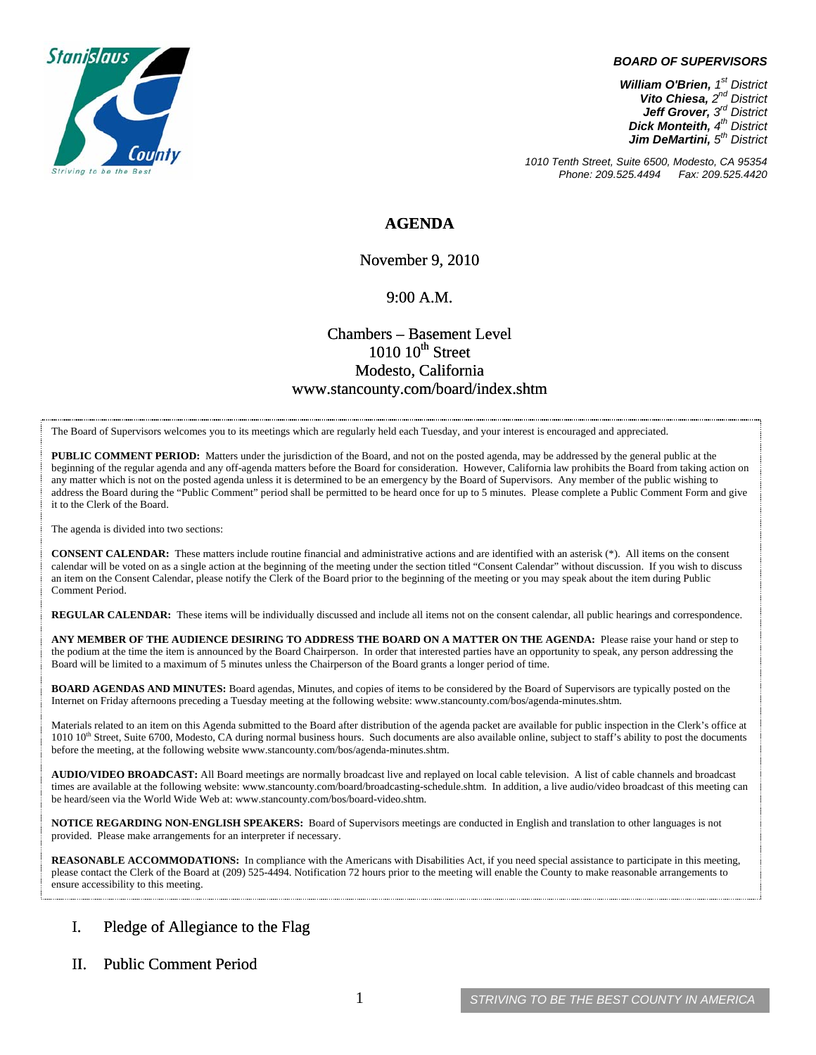

#### *BOARD OF SUPERVISORS*

*William O'Brien, 1st District Vito Chiesa, 2nd District Jeff Grover, 3rd District Dick Monteith, 4th District Jim DeMartini, 5th District*

*1010 Tenth Street, Suite 6500, Modesto, CA 95354 Phone: 209.525.4494* 

### **AGENDA**

November 9, 2010

#### 9:00 A.M.

## Chambers – Basement Level  $1010~10$ <sup>th</sup> Street Modesto, California www.stancounty.com/board/index.shtm

The Board of Supervisors welcomes you to its meetings which are regularly held each Tuesday, and your interest is encouraged and appreciated.

**PUBLIC COMMENT PERIOD:** Matters under the jurisdiction of the Board, and not on the posted agenda, may be addressed by the general public at the beginning of the regular agenda and any off-agenda matters before the Board for consideration. However, California law prohibits the Board from taking action on any matter which is not on the posted agenda unless it is determined to be an emergency by the Board of Supervisors. Any member of the public wishing to address the Board during the "Public Comment" period shall be permitted to be heard once for up to 5 minutes. Please complete a Public Comment Form and give it to the Clerk of the Board.

The agenda is divided into two sections:

**CONSENT CALENDAR:** These matters include routine financial and administrative actions and are identified with an asterisk (\*). All items on the consent calendar will be voted on as a single action at the beginning of the meeting under the section titled "Consent Calendar" without discussion. If you wish to discuss an item on the Consent Calendar, please notify the Clerk of the Board prior to the beginning of the meeting or you may speak about the item during Public Comment Period.

**REGULAR CALENDAR:** These items will be individually discussed and include all items not on the consent calendar, all public hearings and correspondence.

**ANY MEMBER OF THE AUDIENCE DESIRING TO ADDRESS THE BOARD ON A MATTER ON THE AGENDA:** Please raise your hand or step to the podium at the time the item is announced by the Board Chairperson. In order that interested parties have an opportunity to speak, any person addressing the Board will be limited to a maximum of 5 minutes unless the Chairperson of the Board grants a longer period of time.

**BOARD AGENDAS AND MINUTES:** Board agendas, Minutes, and copies of items to be considered by the Board of Supervisors are typically posted on the Internet on Friday afternoons preceding a Tuesday meeting at the following website: www.stancounty.com/bos/agenda-minutes.shtm.

Materials related to an item on this Agenda submitted to the Board after distribution of the agenda packet are available for public inspection in the Clerk's office at 1010 10<sup>th</sup> Street, Suite 6700, Modesto, CA during normal business hours. Such documents are also available online, subject to staff's ability to post the documents before the meeting, at the following website www.stancounty.com/bos/agenda-minutes.shtm.

**AUDIO/VIDEO BROADCAST:** All Board meetings are normally broadcast live and replayed on local cable television. A list of cable channels and broadcast times are available at the following website: www.stancounty.com/board/broadcasting-schedule.shtm. In addition, a live audio/video broadcast of this meeting can be heard/seen via the World Wide Web at: www.stancounty.com/bos/board-video.shtm.

**NOTICE REGARDING NON-ENGLISH SPEAKERS:** Board of Supervisors meetings are conducted in English and translation to other languages is not provided. Please make arrangements for an interpreter if necessary.

**REASONABLE ACCOMMODATIONS:** In compliance with the Americans with Disabilities Act, if you need special assistance to participate in this meeting, please contact the Clerk of the Board at (209) 525-4494. Notification 72 hours prior to the meeting will enable the County to make reasonable arrangements to ensure accessibility to this meeting.

### I. Pledge of Allegiance to the Flag

#### II. Public Comment Period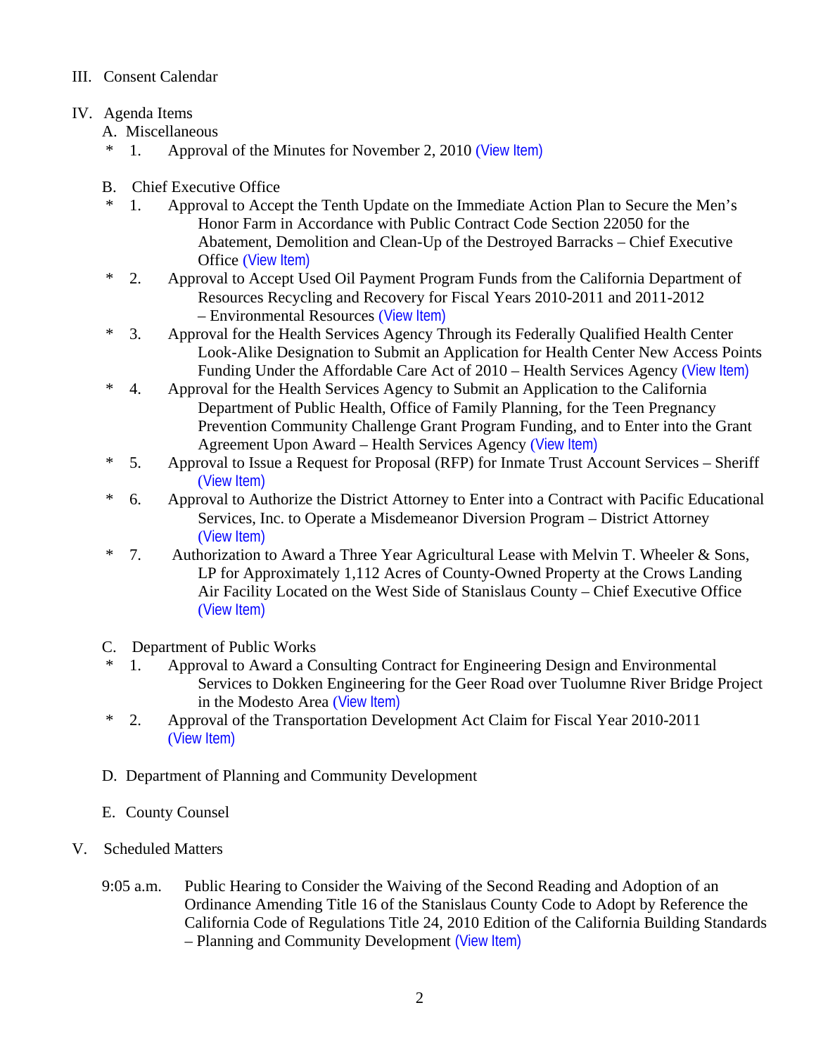## III. Consent Calendar

# IV. Agenda Items

A. Miscellaneous<br>\* 1. Approva

- Approval of the Minutes for November 2, 2010 ([View Item\)](http://www.stancounty.com/bos/minutes/2010/min11-02-10.pdf)
- B. Chief Executive Office
- \* 1. Approval to Accept the Tenth Update on the Immediate Action Plan to Secure the Men's Honor Farm in Accordance with Public Contract Code Section 22050 for the Abatement, Demolition and Clean-Up of the Destroyed Barracks – Chief Executive Office ([View Item\)](http://www.stancounty.com/bos/agenda/2010/20101109/B01.pdf)
- \* 2. Approval to Accept Used Oil Payment Program Funds from the California Department of Resources Recycling and Recovery for Fiscal Years 2010-2011 and 2011-2012 – Environmental Resources ([View Item\)](http://www.stancounty.com/bos/agenda/2010/20101109/B02.pdf)
- \* 3. Approval for the Health Services Agency Through its Federally Qualified Health Center Look-Alike Designation to Submit an Application for Health Center New Access Points Funding Under the Affordable Care Act of 2010 – Health Services Agency ([View Item\)](http://www.stancounty.com/bos/agenda/2010/20101109/B03.pdf)
- \* 4. Approval for the Health Services Agency to Submit an Application to the California Department of Public Health, Office of Family Planning, for the Teen Pregnancy Prevention Community Challenge Grant Program Funding, and to Enter into the Grant Agreement Upon Award – Health Services Agency ([View Item\)](http://www.stancounty.com/bos/agenda/2010/20101109/B04.pdf)
- \* 5. Approval to Issue a Request for Proposal (RFP) for Inmate Trust Account Services Sheriff ([View Item\)](http://www.stancounty.com/bos/agenda/2010/20101109/B05.pdf)
- \* 6. Approval to Authorize the District Attorney to Enter into a Contract with Pacific Educational Services, Inc. to Operate a Misdemeanor Diversion Program – District Attorney ([View Item\)](http://www.stancounty.com/bos/agenda/2010/20101109/B06.pdf)
- \* 7. Authorization to Award a Three Year Agricultural Lease with Melvin T. Wheeler & Sons, LP for Approximately 1,112 Acres of County-Owned Property at the Crows Landing Air Facility Located on the West Side of Stanislaus County – Chief Executive Office ([View Item\)](http://www.stancounty.com/bos/agenda/2010/20101109/B07.pdf)
- C. Department of Public Works
- \* 1. Approval to Award a Consulting Contract for Engineering Design and Environmental Services to Dokken Engineering for the Geer Road over Tuolumne River Bridge Project in the Modesto Area ([View Item\)](http://www.stancounty.com/bos/agenda/2010/20101109/C01.pdf)
- \* 2. Approval of the Transportation Development Act Claim for Fiscal Year 2010-2011 ([View Item\)](http://www.stancounty.com/bos/agenda/2010/20101109/C02.pdf)
- D. Department of Planning and Community Development
- E. County Counsel
- V. Scheduled Matters
	- 9:05 a.m. Public Hearing to Consider the Waiving of the Second Reading and Adoption of an Ordinance Amending Title 16 of the Stanislaus County Code to Adopt by Reference the California Code of Regulations Title 24, 2010 Edition of the California Building Standards – Planning and Community Development [\(View Item\)](http://www.stancounty.com/bos/agenda/2010/20101109/PH905.pdf)